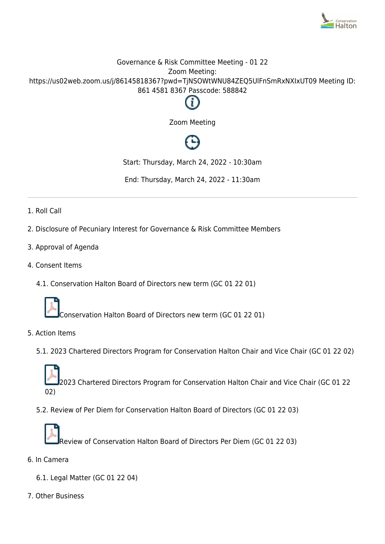

## Governance & Risk Committee Meeting - 01 22 Zoom Meeting: https://us02web.zoom.us/j/86145818367?pwd=TjNSOWtWNU84ZEQ5UlFnSmRxNXIxUT09 Meeting ID: 861 4581 8367 Passcode: 588842



Zoom Meeting

Start: Thursday, March 24, 2022 - 10:30am

End: Thursday, March 24, 2022 - 11:30am

- 1. Roll Call
- 2. Disclosure of Pecuniary Interest for Governance & Risk Committee Members
- 3. Approval of Agenda
- 4. Consent Items
	- 4.1. Conservation Halton Board of Directors new term (GC 01 22 01)



Conservation Halton Board of Directors new term (GC 01 22 01)

- 5. Action Items
	- 5.1. 2023 Chartered Directors Program for Conservation Halton Chair and Vice Chair (GC 01 22 02)

2023 Chartered Directors Program for Conservation Halton Chair and Vice Chair (GC 01 22 02)

5.2. Review of Per Diem for Conservation Halton Board of Directors (GC 01 22 03)



Review of Conservation Halton Board of Directors Per Diem (GC 01 22 03)

- 6. In Camera
	- 6.1. Legal Matter (GC 01 22 04)
- 7. Other Business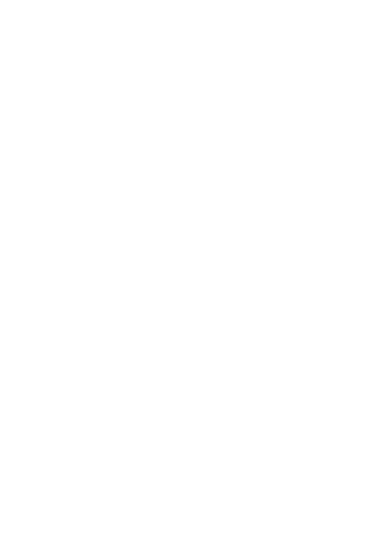# 8. Adjournment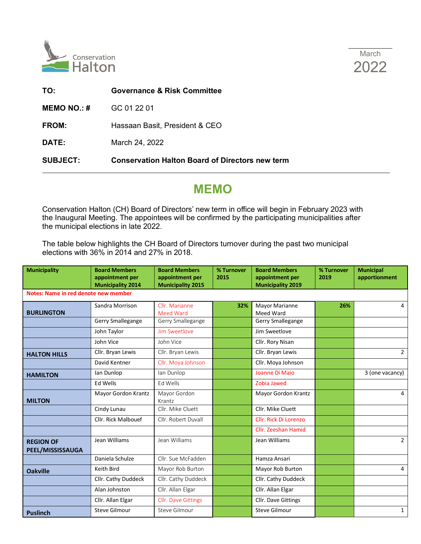



| TO:             | <b>Governance &amp; Risk Committee</b>                 |
|-----------------|--------------------------------------------------------|
| MEMO NO.: $#$   | GC 01 22 01                                            |
| <b>FROM:</b>    | Hassaan Basit, President & CEO                         |
| <b>DATE:</b>    | March 24, 2022                                         |
| <b>SUBJECT:</b> | <b>Conservation Halton Board of Directors new term</b> |

# **MEMO**

Conservation Halton (CH) Board of Directors' new term in office will begin in February 2023 with the Inaugural Meeting. The appointees will be confirmed by the participating municipalities after the municipal elections in late 2022.

The table below highlights the CH Board of Directors turnover during the past two municipal elections with 36% in 2014 and 27% in 2018.

| <b>Municipality</b>                  | <b>Board Members</b><br>appointment per<br><b>Municipality 2014</b> | <b>Board Members</b><br>appointment per<br><b>Municipality 2015</b> | % Turnover<br>2015 | <b>Board Members</b><br>appointment per<br><b>Municipality 2019</b> | % Turnover<br>2019 | <b>Municipal</b><br>apportionment |  |
|--------------------------------------|---------------------------------------------------------------------|---------------------------------------------------------------------|--------------------|---------------------------------------------------------------------|--------------------|-----------------------------------|--|
| Notes: Name in red denote new member |                                                                     |                                                                     |                    |                                                                     |                    |                                   |  |
| <b>BURLINGTON</b>                    | Sandra Morrison                                                     | Cllr. Marianne<br><b>Meed Ward</b>                                  | 32%                | Mayor Marianne<br>Meed Ward                                         | 26%                | 4                                 |  |
|                                      | Gerry Smallegange                                                   | Gerry Smallegange                                                   |                    | Gerry Smallegange                                                   |                    |                                   |  |
|                                      | John Taylor                                                         | Jim Sweetlove                                                       |                    | Jim Sweetlove                                                       |                    |                                   |  |
|                                      | John Vice                                                           | John Vice                                                           |                    | Cllr. Rory Nisan                                                    |                    |                                   |  |
| <b>HALTON HILLS</b>                  | Cllr. Bryan Lewis                                                   | Cllr. Bryan Lewis                                                   |                    | Cllr. Bryan Lewis                                                   |                    | $\overline{2}$                    |  |
|                                      | David Kentner                                                       | Cllr. Moya Johnson                                                  |                    | Cllr. Moya Johnson                                                  |                    |                                   |  |
| <b>HAMILTON</b>                      | Ian Dunlop                                                          | Ian Dunlop                                                          |                    | Joanne Di Maio                                                      |                    | 3 (one vacancy)                   |  |
|                                      | Ed Wells                                                            | Ed Wells                                                            |                    | Zobia Jawed                                                         |                    |                                   |  |
| <b>MILTON</b>                        | <b>Mayor Gordon Krantz</b>                                          | Mayor Gordon<br>Krantz                                              |                    | Mayor Gordon Krantz                                                 |                    | 4                                 |  |
|                                      | Cindy Lunau                                                         | Cllr. Mike Cluett                                                   |                    | Cllr. Mike Cluett                                                   |                    |                                   |  |
|                                      | <b>Cllr. Rick Malbouef</b>                                          | Cllr. Robert Duvall                                                 |                    | Cllr. Rick Di Lorenzo                                               |                    |                                   |  |
|                                      |                                                                     |                                                                     |                    | <b>Cllr. Zeeshan Hamid</b>                                          |                    |                                   |  |
| <b>REGION OF</b><br>PEEL/MISSISSAUGA | Jean Williams                                                       | Jean Williams                                                       |                    | Jean Williams                                                       |                    | 2                                 |  |
|                                      | Daniela Schulze                                                     | Cllr. Sue McFadden                                                  |                    | Hamza Ansari                                                        |                    |                                   |  |
| <b>Oakville</b>                      | Keith Bird                                                          | Mayor Rob Burton                                                    |                    | Mayor Rob Burton                                                    |                    | 4                                 |  |
|                                      | Cllr. Cathy Duddeck                                                 | Cllr. Cathy Duddeck                                                 |                    | Cllr. Cathy Duddeck                                                 |                    |                                   |  |
|                                      | Alan Johnston                                                       | Cllr. Allan Elgar                                                   |                    | Cllr. Allan Elgar                                                   |                    |                                   |  |
|                                      | Cllr. Allan Elgar                                                   | Cllr. Dave Gittings                                                 |                    | Cllr. Dave Gittings                                                 |                    |                                   |  |
| <b>Puslinch</b>                      | <b>Steve Gilmour</b>                                                | Steve Gilmour                                                       |                    | <b>Steve Gilmour</b>                                                |                    | $\mathbf{1}$                      |  |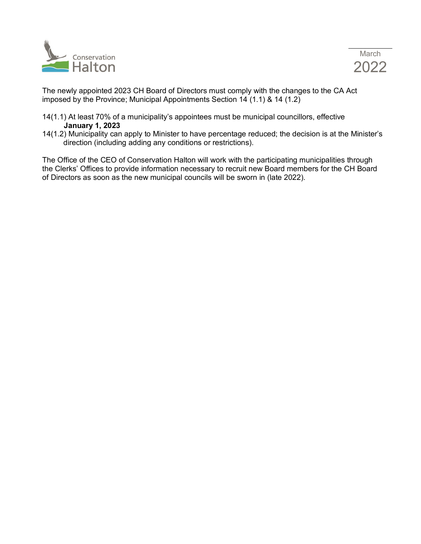



The newly appointed 2023 CH Board of Directors must comply with the changes to the CA Act imposed by the Province; Municipal Appointments Section 14 (1.1) & 14 (1.2)

- 14(1.1) At least 70% of a municipality's appointees must be municipal councillors, effective **January 1, 2023**
- 14(1.2) Municipality can apply to Minister to have percentage reduced; the decision is at the Minister's direction (including adding any conditions or restrictions).

The Office of the CEO of Conservation Halton will work with the participating municipalities through the Clerks' Offices to provide information necessary to recruit new Board members for the CH Board of Directors as soon as the new municipal councils will be sworn in (late 2022).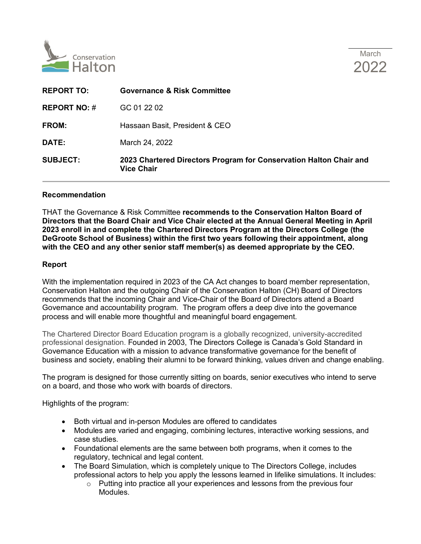

| <b>REPORT TO:</b>   | <b>Governance &amp; Risk Committee</b>                                                  |
|---------------------|-----------------------------------------------------------------------------------------|
| <b>REPORT NO: #</b> | GC 01 22 02                                                                             |
| <b>FROM:</b>        | Hassaan Basit, President & CEO                                                          |
| DATE:               | March 24, 2022                                                                          |
| <b>SUBJECT:</b>     | 2023 Chartered Directors Program for Conservation Halton Chair and<br><b>Vice Chair</b> |

#### **Recommendation**

THAT the Governance & Risk Committee **recommends to the Conservation Halton Board of Directors that the Board Chair and Vice Chair elected at the Annual General Meeting in April 2023 enroll in and complete the Chartered Directors Program at the Directors College (the DeGroote School of Business) within the first two years following their appointment, along with the CEO and any other senior staff member(s) as deemed appropriate by the CEO.**

#### **Report**

With the implementation required in 2023 of the CA Act changes to board member representation, Conservation Halton and the outgoing Chair of the Conservation Halton (CH) Board of Directors recommends that the incoming Chair and Vice-Chair of the Board of Directors attend a Board Governance and accountability program. The program offers a deep dive into the governance process and will enable more thoughtful and meaningful board engagement.

The Chartered Director Board Education program is a globally recognized, university-accredited professional designation. Founded in 2003, The Directors College is Canada's Gold Standard in Governance Education with a mission to advance transformative governance for the benefit of business and society, enabling their alumni to be forward thinking, values driven and change enabling.

The program is designed for those currently sitting on boards, senior executives who intend to serve on a board, and those who work with boards of directors.

Highlights of the program:

- Both virtual and in-person Modules are offered to candidates
- Modules are varied and engaging, combining lectures, interactive working sessions, and case studies.
- Foundational elements are the same between both programs, when it comes to the regulatory, technical and legal content.
- The Board Simulation, which is completely unique to The Directors College, includes professional actors to help you apply the lessons learned in lifelike simulations. It includes:
	- o Putting into practice all your experiences and lessons from the previous four Modules.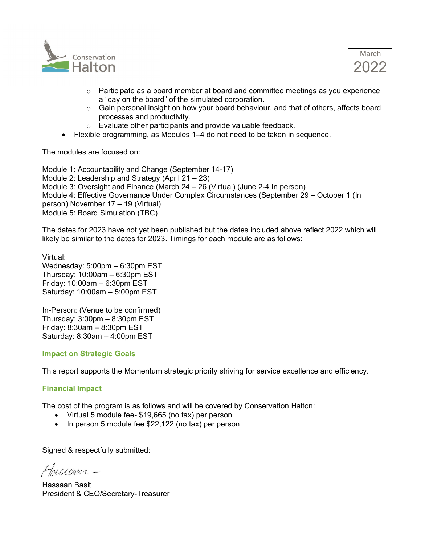

- $\circ$  Participate as a board member at board and committee meetings as you experience a "day on the board" of the simulated corporation.
- $\circ$  Gain personal insight on how your board behaviour, and that of others, affects board processes and productivity.
- o Evaluate other participants and provide valuable feedback.
- Flexible programming, as Modules 1–4 do not need to be taken in sequence.

The modules are focused on:

Module 1: Accountability and Change (September 14-17) Module 2: Leadership and Strategy (April 21 – 23) Module 3: Oversight and Finance (March 24 – 26 (Virtual) (June 2-4 In person) Module 4: Effective Governance Under Complex Circumstances (September 29 – October 1 (In person) November 17 – 19 (Virtual) Module 5: Board Simulation (TBC)

The dates for 2023 have not yet been published but the dates included above reflect 2022 which will likely be similar to the dates for 2023. Timings for each module are as follows:

Virtual:

Wednesday: 5:00pm – 6:30pm EST Thursday: 10:00am – 6:30pm EST Friday: 10:00am – 6:30pm EST Saturday: 10:00am – 5:00pm EST

In-Person: (Venue to be confirmed) Thursday: 3:00pm – 8:30pm EST Friday: 8:30am – 8:30pm EST Saturday: 8:30am – 4:00pm EST

### **Impact on Strategic Goals**

This report supports the Momentum strategic priority striving for service excellence and efficiency.

### **Financial Impact**

The cost of the program is as follows and will be covered by Conservation Halton:

- Virtual 5 module fee- \$19,665 (no tax) per person
- In person 5 module fee \$22,122 (no tax) per person

Signed & respectfully submitted:

Houseur-

Hassaan Basit President & CEO/Secretary-Treasurer